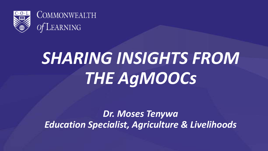



# *SHARING INSIGHTS FROM THE AgMOOCs*

*Dr. Moses Tenywa Education Specialist, Agriculture & Livelihoods*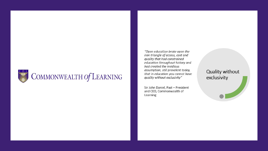

"Open education broke open the iron triangle of access, cost and quality that had constrained education throughout history and had created the insidious assumption, still prevalent today, that in education you cannot have quality without exclusivity"

Sir John Daniel, Past - President and CEO, Commonwealth of Learning

Quality without exclusivity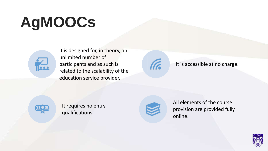# **AgMOOCs**



It is designed for, in theory, an unlimited number of participants and as such is related to the scalability of the education service provider.



It is accessible at no charge.



It requires no entry qualifications.



All elements of the course provision are provided fully online.

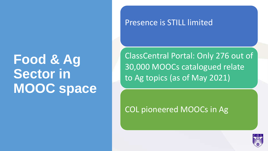### **Food & Ag Sector in MOOC space**

#### Presence is STILL limited

ClassCentral Portal: Only 276 out of 30,000 MOOCs catalogued relate to Ag topics (as of May 2021)

COL pioneered MOOCs in Ag

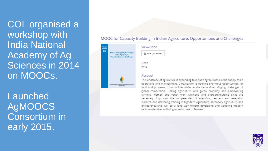COL organised a workshop with India National Academy of Ag Sciences in 2014 on MOOCs.

**Launched** AgMOOCS Consortium in early 2015.

#### MOOC for Capacity Building in Indian Agriculture: Opportunities and Challenges



#### View/Open £ PDF (71.86KB)

Date 2014

#### Abstract

The landscape of agriculture is expanding to include agribusiness in the supply chain operations and management. Globalization is opening enormous opportunities for food and processed commodities while, at the same time bringing challenges of global competition. Linking agriculture with green economy and empowering farmers, women and youth with livelihood and entrepreneurship skills are necessary. Improving the competencies of scientists, teachers and extension workers, and delivering training in high-tech agriculture, secondary agriculture, and entrepreneurship will go a long way toward developing and adopting modern technologies that will bring more income to farmers.

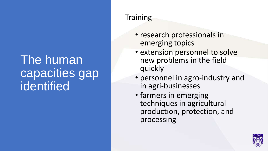#### The human capacities gap identified

#### **Training**

- research professionals in emerging topics
- extension personnel to solve new problems in the field quickly
- personnel in agro-industry and in agri-businesses
- farmers in emerging techniques in agricultural production, protection, and processing

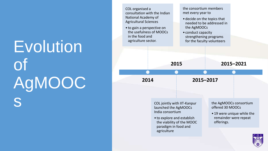# Evolution of AgMOOC s

| COL organised a<br>consultation with the Indian<br>National Academy of<br><b>Agricultural Sciences</b><br>• to gain a perspective on<br>the usefulness of MOOCs<br>in the food and<br>agriculture sector. |  | the consortium members<br>met every year to<br>• decide on the topics that<br>the AgMOOCs<br>• conduct capacity<br>strengthening programs<br>for the faculty volunteers |           | needed to be addressed in                                                                                                              |  |  |
|-----------------------------------------------------------------------------------------------------------------------------------------------------------------------------------------------------------|--|-------------------------------------------------------------------------------------------------------------------------------------------------------------------------|-----------|----------------------------------------------------------------------------------------------------------------------------------------|--|--|
|                                                                                                                                                                                                           |  |                                                                                                                                                                         |           |                                                                                                                                        |  |  |
| 2015                                                                                                                                                                                                      |  |                                                                                                                                                                         | 2015-2021 |                                                                                                                                        |  |  |
| 2014                                                                                                                                                                                                      |  | 2015-2017                                                                                                                                                               |           |                                                                                                                                        |  |  |
| COL jointly with IIT-Kanpur<br>launched the AgMOOCs<br>India consortium<br>• to explore and establish<br>the viability of the MOOC<br>paradigm in food and<br>agriculture                                 |  |                                                                                                                                                                         |           | the AgMOOCs consortium<br>offered 30 MOOCs<br>• 19 were unique while the<br>remainder were repeat<br>offerings.<br>$C \cdot O \cdot L$ |  |  |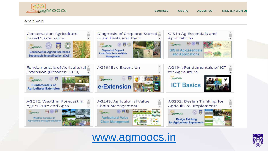

#### Archived





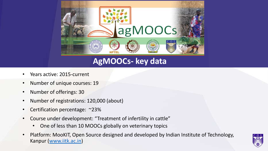

#### **AgMOOCs- key data**

- Years active: 2015-current
- Number of unique courses: 19
- Number of offerings: 30
- Number of registrations: 120,000 (about)
- Certification percentage: ~23%
- Course under development: "Treatment of infertility in cattle"
	- One of less than 10 MOOCs globally on veterinary topics
- Platform: MooKIT, Open Source designed and developed by Indian Institute of Technology, Kanpur [\(www.iitk.ac.in](http://www.iitk.ac.in/))

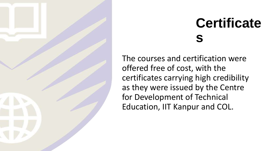

### **Certificate s**

The courses and certification were offered free of cost, with the certificates carrying high credibility as they were issued by the Centre for Development of Technical Education, IIT Kanpur and COL.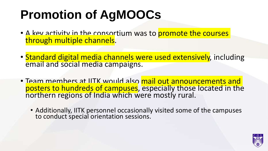### **Promotion of AgMOOCs**

- A key activity in the consortium was to promote the courses through multiple channels.
- Standard digital media channels were used extensively, including email and social media campaigns.
- Team members at IITK would also mail out announcements and posters to hundreds of campuses, especially those located in the northern regions of India which were mostly rural.
	- Additionally, IITK personnel occasionally visited some of the campuses to conduct special orientation sessions.

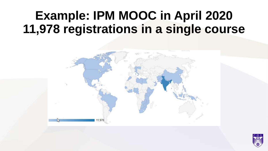#### **Example: IPM MOOC in April 2020 11,978 registrations in a single course**



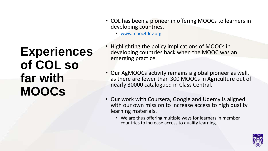#### **Experiences of COL so far with MOOCs**

- COL has been a pioneer in offering MOOCs to learners in developing countries.
	- [www.mooc4dev.org](http://www.mooc4dev.org/)
- Highlighting the policy implications of MOOCs in developing countries back when the MOOC was an emerging practice.
- Our AgMOOCs activity remains a global pioneer as well, as there are fewer than 300 MOOCs in Agriculture out of nearly 30000 catalogued in Class Central.
- Our work with Coursera, Google and Udemy is aligned with our own mission to increase access to high quality learning materials.
	- We are thus offering multiple ways for learners in member countries to increase access to quality learning.

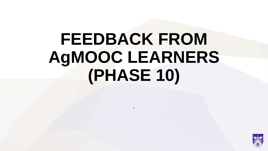# **FEEDBACK FROM AgMOOC LEARNERS (PHASE 10)**

.

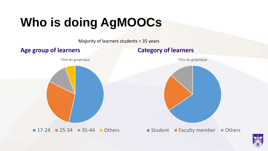## **Who is doing AgMOOCs**

Majority of learners students < 35 years

**Age group of learners Category of learners**

Titre du graphique



Titre du graphique



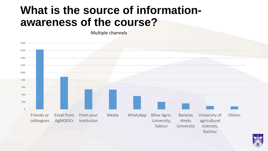#### **What is the source of informationawareness of the course?**

Multiple channels



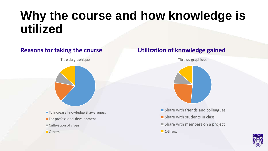### **Why the course and how knowledge is utilized**

Titre du graphique

- To increase knowledge & awareness
- For professional development
- Cultivation of crops
- **Others**

#### **Reasons for taking the course Utilization of knowledge gained**

Titre du graphique



- **Share with friends and colleagues**
- **Share with students in class**
- Share with members on a project
- **Others**

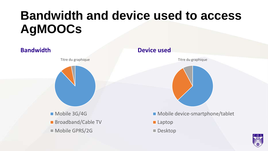### **Bandwidth and device used to access AgMOOCs**



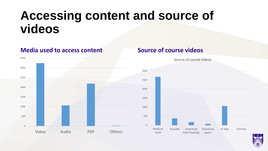#### **Accessing content and source of videos**

#### **Media used to access content Source of course videos**





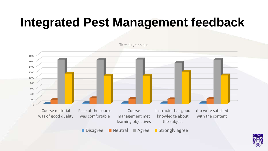### **Integrated Pest Management feedback**